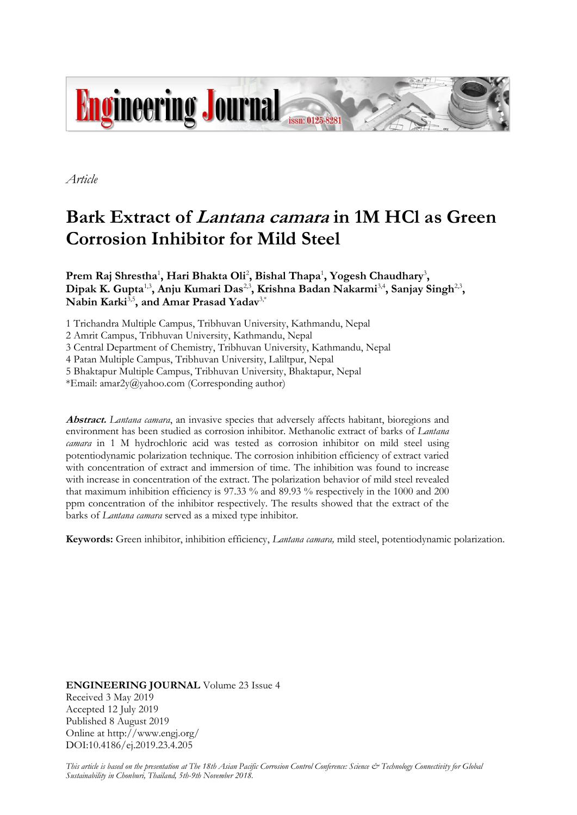

*Article*

# **Bark Extract of Lantana camara in 1M HCl as Green Corrosion Inhibitor for Mild Steel**

**Prem Raj Shrestha**<sup>1</sup> **, Hari Bhakta Oli**<sup>2</sup> **, Bishal Thapa**<sup>1</sup> **, Yogesh Chaudhary**<sup>3</sup> **,** Dipak K. Gupta<sup>1,3</sup>, Anju Kumari Das<sup>2,3</sup>, Krishna Badan Nakarmi<sup>3,4</sup>, Sanjay Singh<sup>2,3</sup>,  $\mathbf{N}$ abin Karki<sup>3,5</sup>, and Amar Prasad Yadav<sup>3,\*</sup>

1 Trichandra Multiple Campus, Tribhuvan University, Kathmandu, Nepal

2 Amrit Campus, Tribhuvan University, Kathmandu, Nepal

3 Central Department of Chemistry, Tribhuvan University, Kathmandu, Nepal

4 Patan Multiple Campus, Tribhuvan University, Laliltpur, Nepal

5 Bhaktapur Multiple Campus, Tribhuvan University, Bhaktapur, Nepal

\*Email: amar2y@yahoo.com (Corresponding author)

**Abstract.** *Lantana camara*, an invasive species that adversely affects habitant, bioregions and environment has been studied as corrosion inhibitor. Methanolic extract of barks of *Lantana camara* in 1 M hydrochloric acid was tested as corrosion inhibitor on mild steel using potentiodynamic polarization technique. The corrosion inhibition efficiency of extract varied with concentration of extract and immersion of time. The inhibition was found to increase with increase in concentration of the extract. The polarization behavior of mild steel revealed that maximum inhibition efficiency is 97.33 % and 89.93 % respectively in the 1000 and 200 ppm concentration of the inhibitor respectively. The results showed that the extract of the barks of *Lantana camara* served as a mixed type inhibitor.

**Keywords:** Green inhibitor, inhibition efficiency, *Lantana camara,* mild steel, potentiodynamic polarization.

**ENGINEERING JOURNAL** Volume 23 Issue 4 Received 3 May 2019 Accepted 12 July 2019 Published 8 August 2019 Online at http://www.engj.org/ DOI:10.4186/ej.2019.23.4.205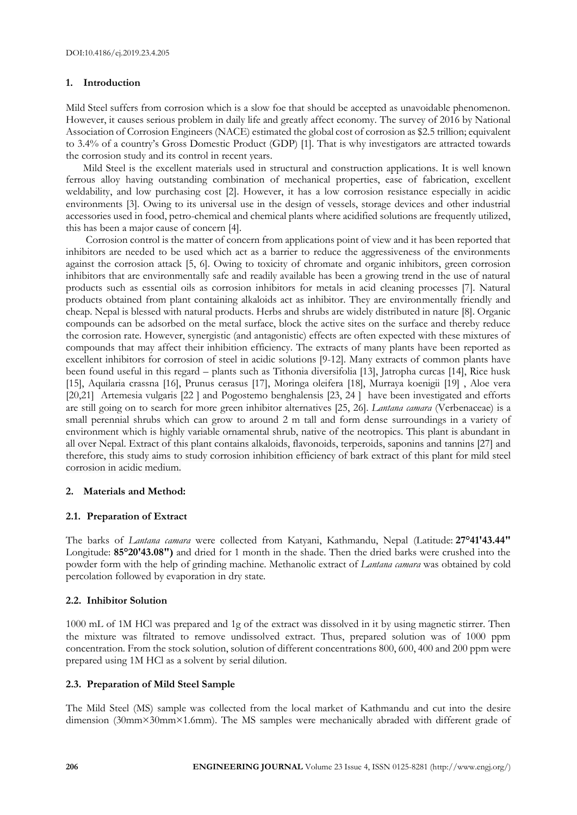## **1. Introduction**

Mild Steel suffers from corrosion which is a slow foe that should be accepted as unavoidable phenomenon. However, it causes serious problem in daily life and greatly affect economy. The survey of 2016 by National Association of Corrosion Engineers (NACE) estimated the global cost of corrosion as \$2.5 trillion; equivalent to 3.4% of a country's Gross Domestic Product (GDP) [1]. That is why investigators are attracted towards the corrosion study and its control in recent years.

Mild Steel is the excellent materials used in structural and construction applications. It is well known ferrous alloy having outstanding combination of mechanical properties, ease of fabrication, excellent weldability, and low purchasing cost [2]. However, it has a low corrosion resistance especially in acidic environments [3]. Owing to its universal use in the design of vessels, storage devices and other industrial accessories used in food, petro-chemical and chemical plants where acidified solutions are frequently utilized, this has been a major cause of concern [4].

Corrosion control is the matter of concern from applications point of view and it has been reported that inhibitors are needed to be used which act as a barrier to reduce the aggressiveness of the environments against the corrosion attack [5, 6]. Owing to toxicity of chromate and organic inhibitors, green corrosion inhibitors that are environmentally safe and readily available has been a growing trend in the use of natural products such as essential oils as corrosion inhibitors for metals in acid cleaning processes [7]. Natural products obtained from plant containing alkaloids act as inhibitor. They are environmentally friendly and cheap. Nepal is blessed with natural products. Herbs and shrubs are widely distributed in nature [8]. Organic compounds can be adsorbed on the metal surface, block the active sites on the surface and thereby reduce the corrosion rate. However, synergistic (and antagonistic) effects are often expected with these mixtures of compounds that may affect their inhibition efficiency. The extracts of many plants have been reported as excellent inhibitors for corrosion of steel in acidic solutions [9-12]. Many extracts of common plants have been found useful in this regard – plants such as Tithonia diversifolia [13], Jatropha curcas [14], Rice husk [15], Aquilaria crassna [16], Prunus cerasus [17], Moringa oleifera [18], Murraya koenigii [19] , Aloe vera [20,21] Artemesia vulgaris [22 ] and Pogostemo benghalensis [23, 24 ] have been investigated and efforts are still going on to search for more green inhibitor alternatives [25, 26]. *Lantana camara* (Verbenaceae) is a small perennial shrubs which can grow to around 2 m tall and form dense surroundings in a variety of environment which is highly variable ornamental shrub, native of the neotropics. This plant is abundant in all over Nepal. Extract of this plant contains alkaloids, flavonoids, terperoids, saponins and tannins [27] and therefore, this study aims to study corrosion inhibition efficiency of bark extract of this plant for mild steel corrosion in acidic medium.

# **2. Materials and Method:**

# **2.1. Preparation of Extract**

The barks of *Lantana camara* were collected from Katyani, Kathmandu, Nepal (Latitude: **27°41'43.44"** Longitude: **85°20'43.08")** and dried for 1 month in the shade. Then the dried barks were crushed into the powder form with the help of grinding machine. Methanolic extract of *Lantana camara* was obtained by cold percolation followed by evaporation in dry state.

# **2.2. Inhibitor Solution**

1000 mL of 1M HCl was prepared and 1g of the extract was dissolved in it by using magnetic stirrer. Then the mixture was filtrated to remove undissolved extract. Thus, prepared solution was of 1000 ppm concentration. From the stock solution, solution of different concentrations 800, 600, 400 and 200 ppm were prepared using 1M HCl as a solvent by serial dilution.

# **2.3. Preparation of Mild Steel Sample**

The Mild Steel (MS) sample was collected from the local market of Kathmandu and cut into the desire dimension (30mm×30mm×1.6mm). The MS samples were mechanically abraded with different grade of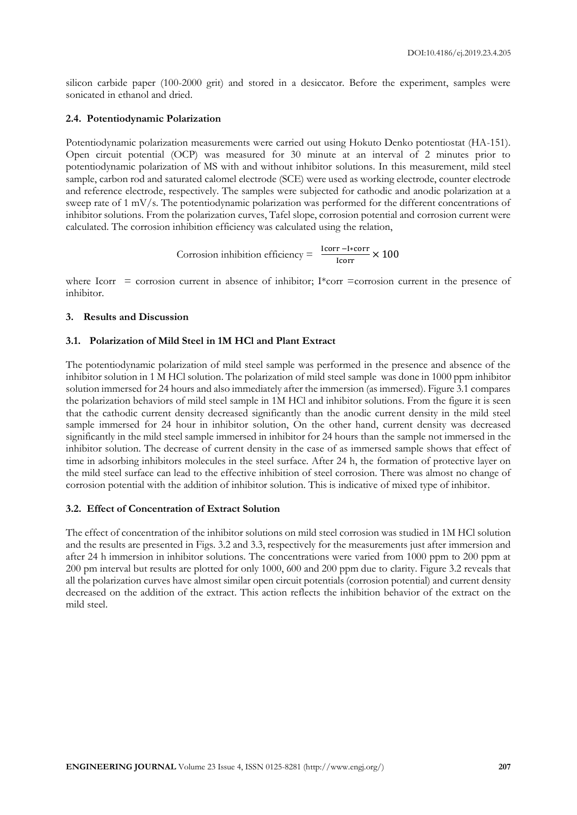silicon carbide paper (100-2000 grit) and stored in a desiccator. Before the experiment, samples were sonicated in ethanol and dried.

#### **2.4. Potentiodynamic Polarization**

Potentiodynamic polarization measurements were carried out using Hokuto Denko potentiostat (HA-151). Open circuit potential (OCP) was measured for 30 minute at an interval of 2 minutes prior to potentiodynamic polarization of MS with and without inhibitor solutions. In this measurement, mild steel sample, carbon rod and saturated calomel electrode (SCE) were used as working electrode, counter electrode and reference electrode, respectively. The samples were subjected for cathodic and anodic polarization at a sweep rate of 1 mV/s. The potentiodynamic polarization was performed for the different concentrations of inhibitor solutions. From the polarization curves, Tafel slope, corrosion potential and corrosion current were calculated. The corrosion inhibition efficiency was calculated using the relation,

Corrosion inhibition efficiency = 
$$
\frac{\text{lcorr} - \text{I*corr}}{\text{lcorr}} \times 100
$$

where Icorr = corrosion current in absence of inhibitor; I\*corr = corrosion current in the presence of inhibitor.

## **3. Results and Discussion**

## **3.1. Polarization of Mild Steel in 1M HCl and Plant Extract**

The potentiodynamic polarization of mild steel sample was performed in the presence and absence of the inhibitor solution in 1 M HCl solution. The polarization of mild steel sample was done in 1000 ppm inhibitor solution immersed for 24 hours and also immediately after the immersion (as immersed). Figure 3.1 compares the polarization behaviors of mild steel sample in 1M HCl and inhibitor solutions. From the figure it is seen that the cathodic current density decreased significantly than the anodic current density in the mild steel sample immersed for 24 hour in inhibitor solution, On the other hand, current density was decreased significantly in the mild steel sample immersed in inhibitor for 24 hours than the sample not immersed in the inhibitor solution. The decrease of current density in the case of as immersed sample shows that effect of time in adsorbing inhibitors molecules in the steel surface. After 24 h, the formation of protective layer on the mild steel surface can lead to the effective inhibition of steel corrosion. There was almost no change of corrosion potential with the addition of inhibitor solution. This is indicative of mixed type of inhibitor.

## **3.2. Effect of Concentration of Extract Solution**

The effect of concentration of the inhibitor solutions on mild steel corrosion was studied in 1M HCl solution and the results are presented in Figs. 3.2 and 3.3, respectively for the measurements just after immersion and after 24 h immersion in inhibitor solutions. The concentrations were varied from 1000 ppm to 200 ppm at 200 pm interval but results are plotted for only 1000, 600 and 200 ppm due to clarity. Figure 3.2 reveals that all the polarization curves have almost similar open circuit potentials (corrosion potential) and current density decreased on the addition of the extract. This action reflects the inhibition behavior of the extract on the mild steel.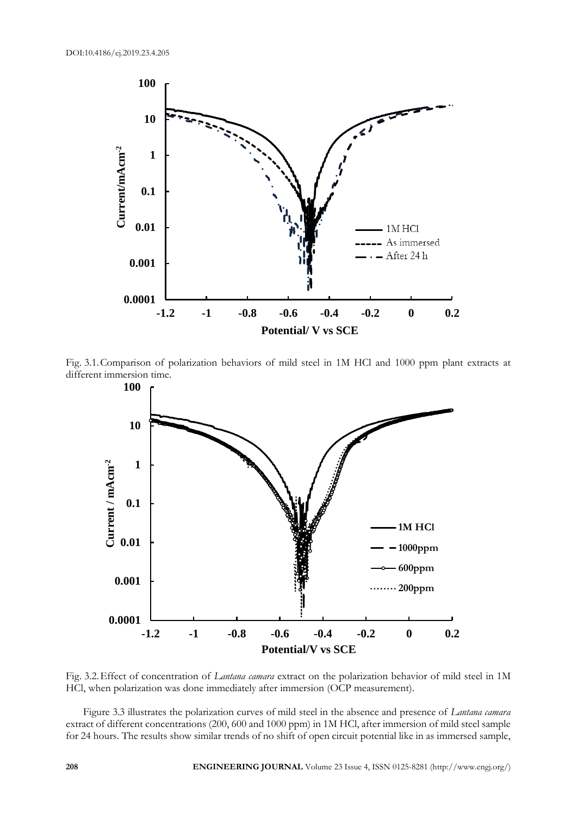

Fig. 3.1.Comparison of polarization behaviors of mild steel in 1M HCl and 1000 ppm plant extracts at different immersion time.



Fig. 3.2.Effect of concentration of *Lantana camara* extract on the polarization behavior of mild steel in 1M HCl, when polarization was done immediately after immersion (OCP measurement).

Figure 3.3 illustrates the polarization curves of mild steel in the absence and presence of *Lantana camara* extract of different concentrations (200, 600 and 1000 ppm) in 1M HCl, after immersion of mild steel sample for 24 hours. The results show similar trends of no shift of open circuit potential like in as immersed sample,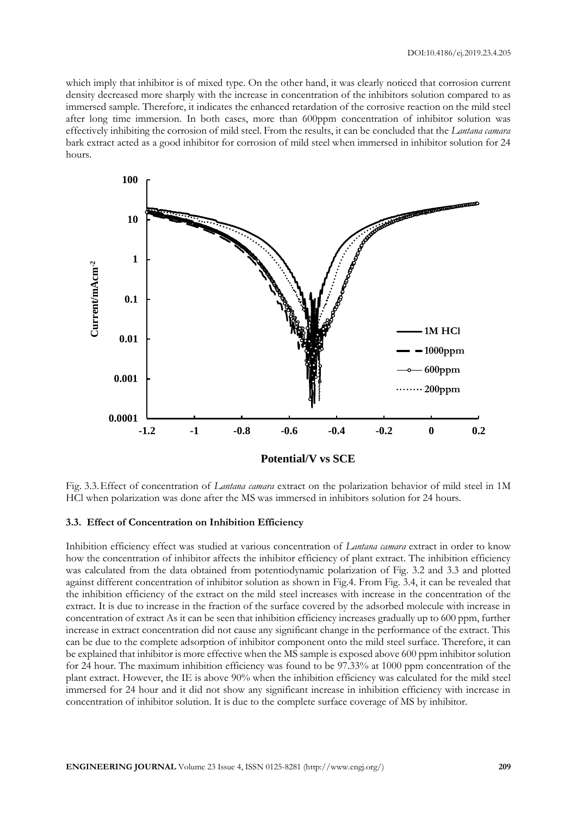which imply that inhibitor is of mixed type. On the other hand, it was clearly noticed that corrosion current density decreased more sharply with the increase in concentration of the inhibitors solution compared to as immersed sample. Therefore, it indicates the enhanced retardation of the corrosive reaction on the mild steel after long time immersion. In both cases, more than 600ppm concentration of inhibitor solution was effectively inhibiting the corrosion of mild steel. From the results, it can be concluded that the *Lantana camara* bark extract acted as a good inhibitor for corrosion of mild steel when immersed in inhibitor solution for 24 hours.



Fig. 3.3.Effect of concentration of *Lantana camara* extract on the polarization behavior of mild steel in 1M HCl when polarization was done after the MS was immersed in inhibitors solution for 24 hours.

#### **3.3. Effect of Concentration on Inhibition Efficiency**

Inhibition efficiency effect was studied at various concentration of *Lantana camara* extract in order to know how the concentration of inhibitor affects the inhibitor efficiency of plant extract. The inhibition efficiency was calculated from the data obtained from potentiodynamic polarization of Fig. 3.2 and 3.3 and plotted against different concentration of inhibitor solution as shown in Fig.4. From Fig. 3.4, it can be revealed that the inhibition efficiency of the extract on the mild steel increases with increase in the concentration of the extract. It is due to increase in the fraction of the surface covered by the adsorbed molecule with increase in concentration of extract As it can be seen that inhibition efficiency increases gradually up to 600 ppm, further increase in extract concentration did not cause any significant change in the performance of the extract. This can be due to the complete adsorption of inhibitor component onto the mild steel surface. Therefore, it can be explained that inhibitor is more effective when the MS sample is exposed above 600 ppm inhibitor solution for 24 hour. The maximum inhibition efficiency was found to be 97.33% at 1000 ppm concentration of the plant extract. However, the IE is above 90% when the inhibition efficiency was calculated for the mild steel immersed for 24 hour and it did not show any significant increase in inhibition efficiency with increase in concentration of inhibitor solution. It is due to the complete surface coverage of MS by inhibitor.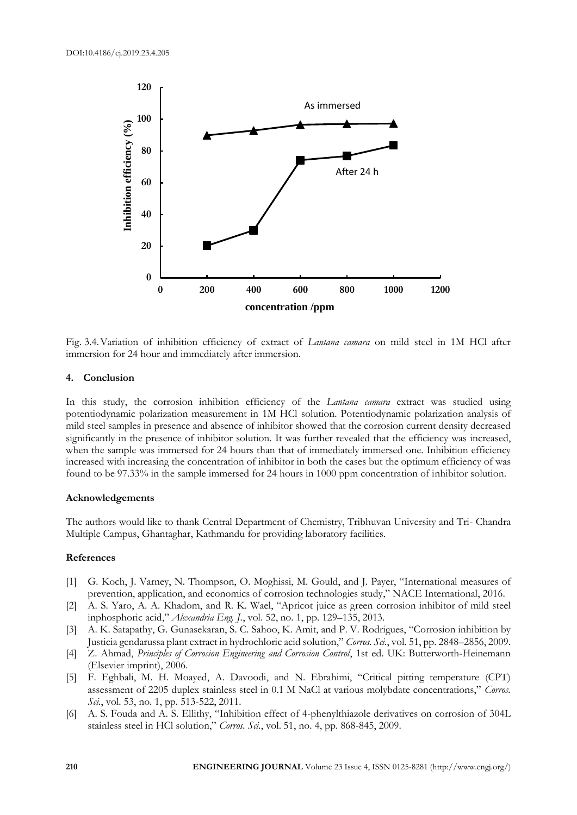

Fig. 3.4.Variation of inhibition efficiency of extract of *Lantana camara* on mild steel in 1M HCl after immersion for 24 hour and immediately after immersion.

#### **4. Conclusion**

In this study, the corrosion inhibition efficiency of the *Lantana camara* extract was studied using potentiodynamic polarization measurement in 1M HCl solution. Potentiodynamic polarization analysis of mild steel samples in presence and absence of inhibitor showed that the corrosion current density decreased significantly in the presence of inhibitor solution. It was further revealed that the efficiency was increased, when the sample was immersed for 24 hours than that of immediately immersed one. Inhibition efficiency increased with increasing the concentration of inhibitor in both the cases but the optimum efficiency of was found to be 97.33% in the sample immersed for 24 hours in 1000 ppm concentration of inhibitor solution.

#### **Acknowledgements**

The authors would like to thank Central Department of Chemistry, Tribhuvan University and Tri- Chandra Multiple Campus, Ghantaghar, Kathmandu for providing laboratory facilities.

## **References**

- [1] G. Koch, J. Varney, N. Thompson, O. Moghissi, M. Gould, and J. Payer, "International measures of prevention, application, and economics of corrosion technologies study," NACE International, 2016.
- [2] A. S. Yaro, A. A. Khadom, and R. K. Wael, "Apricot juice as green corrosion inhibitor of mild steel inphosphoric acid," *Alexandria Eng. J.*, vol. 52, no. 1, pp. 129–135, 2013.
- [3] A. K. Satapathy, G. Gunasekaran, S. C. Sahoo, K. Amit, and P. V. Rodrigues, "Corrosion inhibition by Justicia gendarussa plant extract in hydrochloric acid solution," *Corros. Sci.*, vol. 51, pp. 2848–2856, 2009.
- [4] Z. Ahmad, *Principles of Corrosion Engineering and Corrosion Control*, 1st ed. UK: Butterworth-Heinemann (Elsevier imprint), 2006.
- [5] F. Eghbali, M. H. Moayed, A. Davoodi, and N. Ebrahimi, "Critical pitting temperature (CPT) assessment of 2205 duplex stainless steel in 0.1 M NaCl at various molybdate concentrations," *Corros. Sci.*, vol. 53, no. 1, pp. 513-522, 2011.
- [6] A. S. Fouda and A. S. Ellithy, "Inhibition effect of 4-phenylthiazole derivatives on corrosion of 304L stainless steel in HCl solution," *Corros. Sci.*, vol. 51, no. 4, pp. 868-845, 2009.